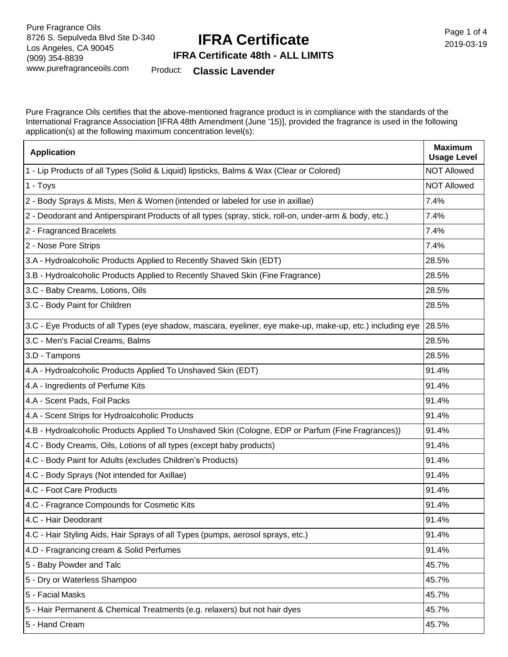# **IFRA Certificate**

Page 1 of 4 2019-03-19

#### **IFRA Certificate 48th - ALL LIMITS**

Product: **Classic Lavender**

Pure Fragrance Oils certifies that the above-mentioned fragrance product is in compliance with the standards of the International Fragrance Association [IFRA 48th Amendment (June '15)], provided the fragrance is used in the following application(s) at the following maximum concentration level(s):

| <b>Application</b>                                                                                        | <b>Maximum</b><br><b>Usage Level</b> |
|-----------------------------------------------------------------------------------------------------------|--------------------------------------|
| 1 - Lip Products of all Types (Solid & Liquid) lipsticks, Balms & Wax (Clear or Colored)                  | <b>NOT Allowed</b>                   |
| 1 - Toys                                                                                                  | <b>NOT Allowed</b>                   |
| 2 - Body Sprays & Mists, Men & Women (intended or labeled for use in axillae)                             | 7.4%                                 |
| 2 - Deodorant and Antiperspirant Products of all types (spray, stick, roll-on, under-arm & body, etc.)    | 7.4%                                 |
| 2 - Fragranced Bracelets                                                                                  | 7.4%                                 |
| 2 - Nose Pore Strips                                                                                      | 7.4%                                 |
| 3.A - Hydroalcoholic Products Applied to Recently Shaved Skin (EDT)                                       | 28.5%                                |
| 3.B - Hydroalcoholic Products Applied to Recently Shaved Skin (Fine Fragrance)                            | 28.5%                                |
| 3.C - Baby Creams, Lotions, Oils                                                                          | 28.5%                                |
| 3.C - Body Paint for Children                                                                             | 28.5%                                |
| 3.C - Eye Products of all Types (eye shadow, mascara, eyeliner, eye make-up, make-up, etc.) including eye | 28.5%                                |
| 3.C - Men's Facial Creams, Balms                                                                          | 28.5%                                |
| 3.D - Tampons                                                                                             | 28.5%                                |
| 4.A - Hydroalcoholic Products Applied To Unshaved Skin (EDT)                                              | 91.4%                                |
| 4.A - Ingredients of Perfume Kits                                                                         | 91.4%                                |
| 4.A - Scent Pads, Foil Packs                                                                              | 91.4%                                |
| 4.A - Scent Strips for Hydroalcoholic Products                                                            | 91.4%                                |
| 4.B - Hydroalcoholic Products Applied To Unshaved Skin (Cologne, EDP or Parfum (Fine Fragrances))         | 91.4%                                |
| 4.C - Body Creams, Oils, Lotions of all types (except baby products)                                      | 91.4%                                |
| 4.C - Body Paint for Adults (excludes Children's Products)                                                | 91.4%                                |
| 4.C - Body Sprays (Not intended for Axillae)                                                              | 91.4%                                |
| 4.C - Foot Care Products                                                                                  | 91.4%                                |
| 4.C - Fragrance Compounds for Cosmetic Kits                                                               | 91.4%                                |
| 4.C - Hair Deodorant                                                                                      | 91.4%                                |
| 4.C - Hair Styling Aids, Hair Sprays of all Types (pumps, aerosol sprays, etc.)                           | 91.4%                                |
| 4.D - Fragrancing cream & Solid Perfumes                                                                  | 91.4%                                |
| 5 - Baby Powder and Talc                                                                                  | 45.7%                                |
| 5 - Dry or Waterless Shampoo                                                                              | 45.7%                                |
| 5 - Facial Masks                                                                                          | 45.7%                                |
| 5 - Hair Permanent & Chemical Treatments (e.g. relaxers) but not hair dyes                                | 45.7%                                |
| 5 - Hand Cream                                                                                            | 45.7%                                |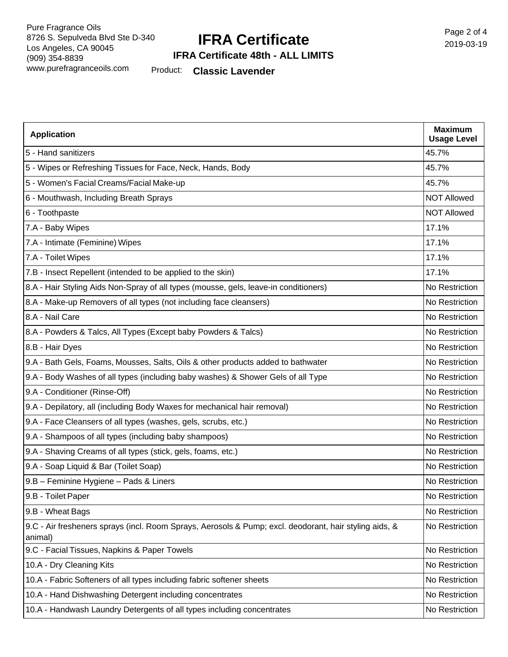### **IFRA Certificate**

Page 2 of 4 2019-03-19

#### **IFRA Certificate 48th - ALL LIMITS**

Product: **Classic Lavender**

| <b>Application</b>                                                                                                | <b>Maximum</b><br><b>Usage Level</b> |
|-------------------------------------------------------------------------------------------------------------------|--------------------------------------|
| 5 - Hand sanitizers                                                                                               | 45.7%                                |
| 5 - Wipes or Refreshing Tissues for Face, Neck, Hands, Body                                                       | 45.7%                                |
| 5 - Women's Facial Creams/Facial Make-up                                                                          | 45.7%                                |
| 6 - Mouthwash, Including Breath Sprays                                                                            | <b>NOT Allowed</b>                   |
| 6 - Toothpaste                                                                                                    | <b>NOT Allowed</b>                   |
| 7.A - Baby Wipes                                                                                                  | 17.1%                                |
| 7.A - Intimate (Feminine) Wipes                                                                                   | 17.1%                                |
| 7.A - Toilet Wipes                                                                                                | 17.1%                                |
| 7.B - Insect Repellent (intended to be applied to the skin)                                                       | 17.1%                                |
| 8.A - Hair Styling Aids Non-Spray of all types (mousse, gels, leave-in conditioners)                              | No Restriction                       |
| 8.A - Make-up Removers of all types (not including face cleansers)                                                | No Restriction                       |
| 8.A - Nail Care                                                                                                   | No Restriction                       |
| 8.A - Powders & Talcs, All Types (Except baby Powders & Talcs)                                                    | No Restriction                       |
| 8.B - Hair Dyes                                                                                                   | No Restriction                       |
| 9.A - Bath Gels, Foams, Mousses, Salts, Oils & other products added to bathwater                                  | No Restriction                       |
| 9.A - Body Washes of all types (including baby washes) & Shower Gels of all Type                                  | No Restriction                       |
| 9.A - Conditioner (Rinse-Off)                                                                                     | No Restriction                       |
| 9.A - Depilatory, all (including Body Waxes for mechanical hair removal)                                          | No Restriction                       |
| 9.A - Face Cleansers of all types (washes, gels, scrubs, etc.)                                                    | No Restriction                       |
| 9.A - Shampoos of all types (including baby shampoos)                                                             | No Restriction                       |
| 9.A - Shaving Creams of all types (stick, gels, foams, etc.)                                                      | No Restriction                       |
| 9.A - Soap Liquid & Bar (Toilet Soap)                                                                             | No Restriction                       |
| 9.B - Feminine Hygiene - Pads & Liners                                                                            | No Restriction                       |
| 9.B - Toilet Paper                                                                                                | No Restriction                       |
| 9.B - Wheat Bags                                                                                                  | No Restriction                       |
| 9.C - Air fresheners sprays (incl. Room Sprays, Aerosols & Pump; excl. deodorant, hair styling aids, &<br>animal) | No Restriction                       |
| 9.C - Facial Tissues, Napkins & Paper Towels                                                                      | No Restriction                       |
| 10.A - Dry Cleaning Kits                                                                                          | No Restriction                       |
| 10.A - Fabric Softeners of all types including fabric softener sheets                                             | No Restriction                       |
| 10.A - Hand Dishwashing Detergent including concentrates                                                          | No Restriction                       |
| 10.A - Handwash Laundry Detergents of all types including concentrates                                            | No Restriction                       |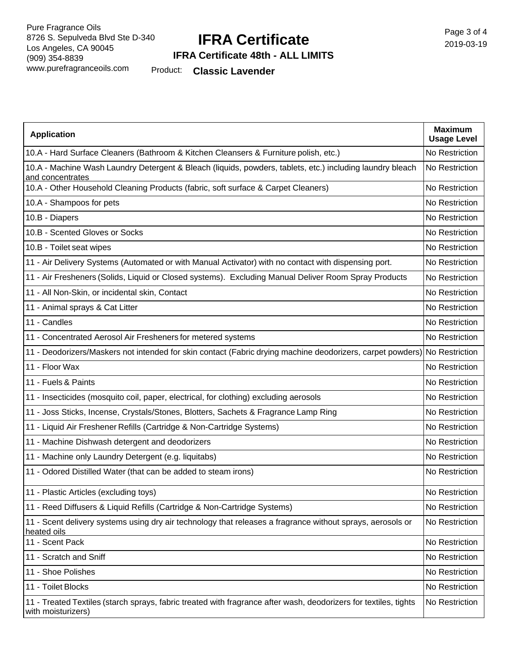# **IFRA Certificate**

Page 3 of 4 2019-03-19

### **IFRA Certificate 48th - ALL LIMITS**

Product: **Classic Lavender**

| <b>Application</b>                                                                                                                     | <b>Maximum</b><br><b>Usage Level</b> |
|----------------------------------------------------------------------------------------------------------------------------------------|--------------------------------------|
| 10.A - Hard Surface Cleaners (Bathroom & Kitchen Cleansers & Furniture polish, etc.)                                                   | No Restriction                       |
| 10.A - Machine Wash Laundry Detergent & Bleach (liquids, powders, tablets, etc.) including laundry bleach<br>and concentrates          | No Restriction                       |
| 10.A - Other Household Cleaning Products (fabric, soft surface & Carpet Cleaners)                                                      | No Restriction                       |
| 10.A - Shampoos for pets                                                                                                               | No Restriction                       |
| 10.B - Diapers                                                                                                                         | No Restriction                       |
| 10.B - Scented Gloves or Socks                                                                                                         | No Restriction                       |
| 10.B - Toilet seat wipes                                                                                                               | No Restriction                       |
| 11 - Air Delivery Systems (Automated or with Manual Activator) with no contact with dispensing port.                                   | No Restriction                       |
| 11 - Air Fresheners (Solids, Liquid or Closed systems). Excluding Manual Deliver Room Spray Products                                   | No Restriction                       |
| 11 - All Non-Skin, or incidental skin, Contact                                                                                         | No Restriction                       |
| 11 - Animal sprays & Cat Litter                                                                                                        | No Restriction                       |
| 11 - Candles                                                                                                                           | No Restriction                       |
| 11 - Concentrated Aerosol Air Fresheners for metered systems                                                                           | No Restriction                       |
| 11 - Deodorizers/Maskers not intended for skin contact (Fabric drying machine deodorizers, carpet powders) No Restriction              |                                      |
| 11 - Floor Wax                                                                                                                         | No Restriction                       |
| 11 - Fuels & Paints                                                                                                                    | No Restriction                       |
| 11 - Insecticides (mosquito coil, paper, electrical, for clothing) excluding aerosols                                                  | No Restriction                       |
| 11 - Joss Sticks, Incense, Crystals/Stones, Blotters, Sachets & Fragrance Lamp Ring                                                    | No Restriction                       |
| 11 - Liquid Air Freshener Refills (Cartridge & Non-Cartridge Systems)                                                                  | No Restriction                       |
| 11 - Machine Dishwash detergent and deodorizers                                                                                        | No Restriction                       |
| 11 - Machine only Laundry Detergent (e.g. liquitabs)                                                                                   | No Restriction                       |
| 11 - Odored Distilled Water (that can be added to steam irons)                                                                         | No Restriction                       |
| 11 - Plastic Articles (excluding toys)                                                                                                 | No Restriction                       |
| 11 - Reed Diffusers & Liquid Refills (Cartridge & Non-Cartridge Systems)                                                               | No Restriction                       |
| 11 - Scent delivery systems using dry air technology that releases a fragrance without sprays, aerosols or<br>heated oils              | No Restriction                       |
| 11 - Scent Pack                                                                                                                        | No Restriction                       |
| 11 - Scratch and Sniff                                                                                                                 | No Restriction                       |
| 11 - Shoe Polishes                                                                                                                     | No Restriction                       |
| 11 - Toilet Blocks                                                                                                                     | No Restriction                       |
| 11 - Treated Textiles (starch sprays, fabric treated with fragrance after wash, deodorizers for textiles, tights<br>with moisturizers) | No Restriction                       |